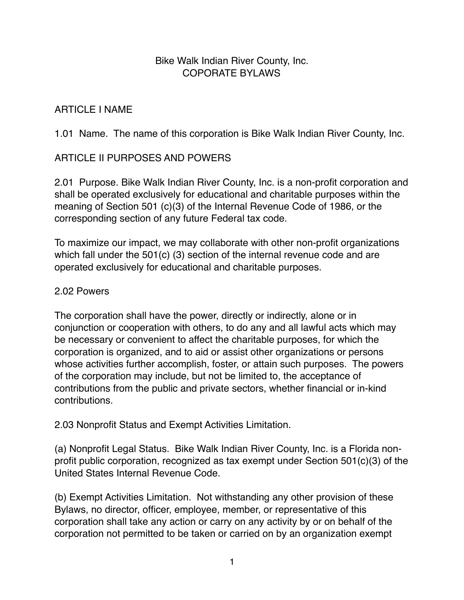#### Bike Walk Indian River County, Inc. COPORATE BYLAWS

## ARTICLE I NAME

1.01 Name. The name of this corporation is Bike Walk Indian River County, Inc.

# ARTICLE II PURPOSES AND POWERS

2.01 Purpose. Bike Walk Indian River County, Inc. is a non-profit corporation and shall be operated exclusively for educational and charitable purposes within the meaning of Section 501 (c)(3) of the Internal Revenue Code of 1986, or the corresponding section of any future Federal tax code.

To maximize our impact, we may collaborate with other non-profit organizations which fall under the 501(c) (3) section of the internal revenue code and are operated exclusively for educational and charitable purposes.

#### 2.02 Powers

The corporation shall have the power, directly or indirectly, alone or in conjunction or cooperation with others, to do any and all lawful acts which may be necessary or convenient to affect the charitable purposes, for which the corporation is organized, and to aid or assist other organizations or persons whose activities further accomplish, foster, or attain such purposes. The powers of the corporation may include, but not be limited to, the acceptance of contributions from the public and private sectors, whether financial or in-kind contributions.

2.03 Nonprofit Status and Exempt Activities Limitation.

(a) Nonprofit Legal Status. Bike Walk Indian River County, Inc. is a Florida nonprofit public corporation, recognized as tax exempt under Section 501(c)(3) of the United States Internal Revenue Code.

(b) Exempt Activities Limitation. Not withstanding any other provision of these Bylaws, no director, officer, employee, member, or representative of this corporation shall take any action or carry on any activity by or on behalf of the corporation not permitted to be taken or carried on by an organization exempt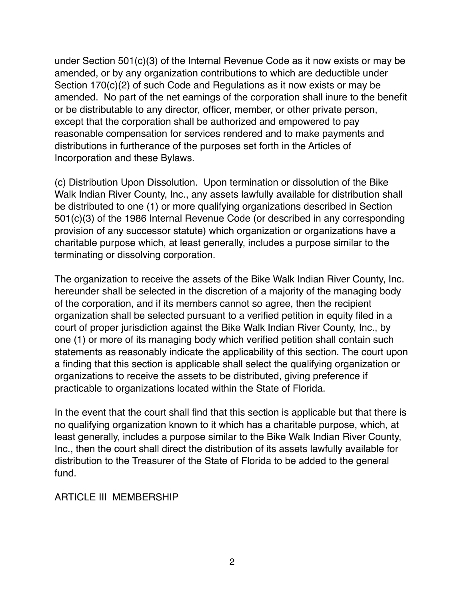under Section 501(c)(3) of the Internal Revenue Code as it now exists or may be amended, or by any organization contributions to which are deductible under Section 170(c)(2) of such Code and Regulations as it now exists or may be amended. No part of the net earnings of the corporation shall inure to the benefit or be distributable to any director, officer, member, or other private person, except that the corporation shall be authorized and empowered to pay reasonable compensation for services rendered and to make payments and distributions in furtherance of the purposes set forth in the Articles of Incorporation and these Bylaws.

(c) Distribution Upon Dissolution. Upon termination or dissolution of the Bike Walk Indian River County, Inc., any assets lawfully available for distribution shall be distributed to one (1) or more qualifying organizations described in Section 501(c)(3) of the 1986 Internal Revenue Code (or described in any corresponding provision of any successor statute) which organization or organizations have a charitable purpose which, at least generally, includes a purpose similar to the terminating or dissolving corporation.

The organization to receive the assets of the Bike Walk Indian River County, Inc. hereunder shall be selected in the discretion of a majority of the managing body of the corporation, and if its members cannot so agree, then the recipient organization shall be selected pursuant to a verified petition in equity filed in a court of proper jurisdiction against the Bike Walk Indian River County, Inc., by one (1) or more of its managing body which verified petition shall contain such statements as reasonably indicate the applicability of this section. The court upon a finding that this section is applicable shall select the qualifying organization or organizations to receive the assets to be distributed, giving preference if practicable to organizations located within the State of Florida.

In the event that the court shall find that this section is applicable but that there is no qualifying organization known to it which has a charitable purpose, which, at least generally, includes a purpose similar to the Bike Walk Indian River County, Inc., then the court shall direct the distribution of its assets lawfully available for distribution to the Treasurer of the State of Florida to be added to the general fund.

#### ARTICLE III MEMBERSHIP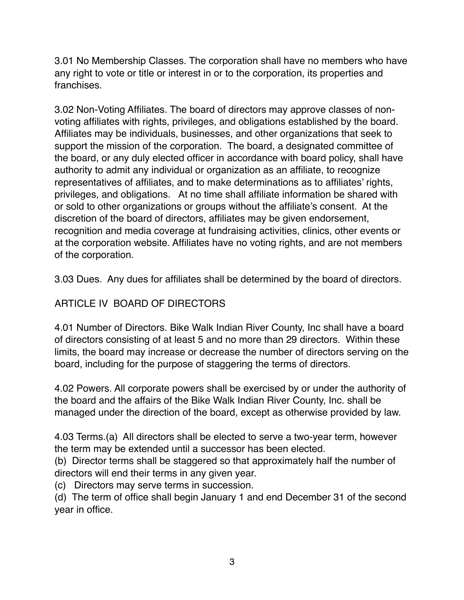3.01 No Membership Classes. The corporation shall have no members who have any right to vote or title or interest in or to the corporation, its properties and franchises.

3.02 Non-Voting Affiliates. The board of directors may approve classes of nonvoting affiliates with rights, privileges, and obligations established by the board. Affiliates may be individuals, businesses, and other organizations that seek to support the mission of the corporation. The board, a designated committee of the board, or any duly elected officer in accordance with board policy, shall have authority to admit any individual or organization as an affiliate, to recognize representatives of affiliates, and to make determinations as to affiliates' rights, privileges, and obligations. At no time shall affiliate information be shared with or sold to other organizations or groups without the affiliate's consent. At the discretion of the board of directors, affiliates may be given endorsement, recognition and media coverage at fundraising activities, clinics, other events or at the corporation website. Affiliates have no voting rights, and are not members of the corporation.

3.03 Dues. Any dues for affiliates shall be determined by the board of directors.

# ARTICLE IV BOARD OF DIRECTORS

4.01 Number of Directors. Bike Walk Indian River County, Inc shall have a board of directors consisting of at least 5 and no more than 29 directors. Within these limits, the board may increase or decrease the number of directors serving on the board, including for the purpose of staggering the terms of directors.

4.02 Powers. All corporate powers shall be exercised by or under the authority of the board and the affairs of the Bike Walk Indian River County, Inc. shall be managed under the direction of the board, except as otherwise provided by law.

4.03 Terms.(a) All directors shall be elected to serve a two-year term, however the term may be extended until a successor has been elected.

(b) Director terms shall be staggered so that approximately half the number of directors will end their terms in any given year.

(c) Directors may serve terms in succession.

(d) The term of office shall begin January 1 and end December 31 of the second year in office.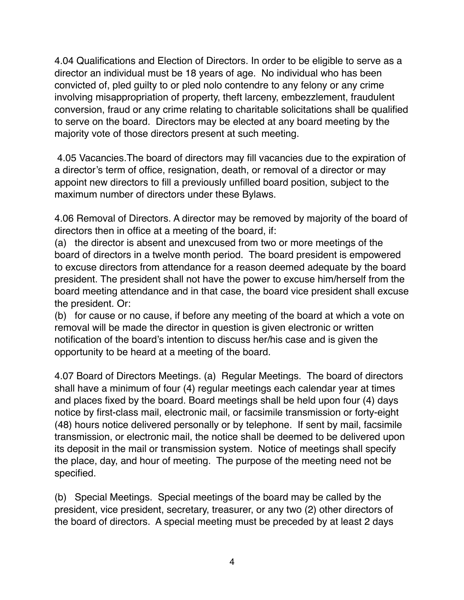4.04 Qualifications and Election of Directors. In order to be eligible to serve as a director an individual must be 18 years of age. No individual who has been convicted of, pled guilty to or pled nolo contendre to any felony or any crime involving misappropriation of property, theft larceny, embezzlement, fraudulent conversion, fraud or any crime relating to charitable solicitations shall be qualified to serve on the board. Directors may be elected at any board meeting by the majority vote of those directors present at such meeting.

 4.05 Vacancies.The board of directors may fill vacancies due to the expiration of a director's term of office, resignation, death, or removal of a director or may appoint new directors to fill a previously unfilled board position, subject to the maximum number of directors under these Bylaws.

4.06 Removal of Directors. A director may be removed by majority of the board of directors then in office at a meeting of the board, if:

(a) the director is absent and unexcused from two or more meetings of the board of directors in a twelve month period. The board president is empowered to excuse directors from attendance for a reason deemed adequate by the board president. The president shall not have the power to excuse him/herself from the board meeting attendance and in that case, the board vice president shall excuse the president. Or:

(b) for cause or no cause, if before any meeting of the board at which a vote on removal will be made the director in question is given electronic or written notification of the board's intention to discuss her/his case and is given the opportunity to be heard at a meeting of the board.

4.07 Board of Directors Meetings. (a) Regular Meetings. The board of directors shall have a minimum of four (4) regular meetings each calendar year at times and places fixed by the board. Board meetings shall be held upon four (4) days notice by first-class mail, electronic mail, or facsimile transmission or forty-eight (48) hours notice delivered personally or by telephone. If sent by mail, facsimile transmission, or electronic mail, the notice shall be deemed to be delivered upon its deposit in the mail or transmission system. Notice of meetings shall specify the place, day, and hour of meeting. The purpose of the meeting need not be specified.

(b) Special Meetings. Special meetings of the board may be called by the president, vice president, secretary, treasurer, or any two (2) other directors of the board of directors. A special meeting must be preceded by at least 2 days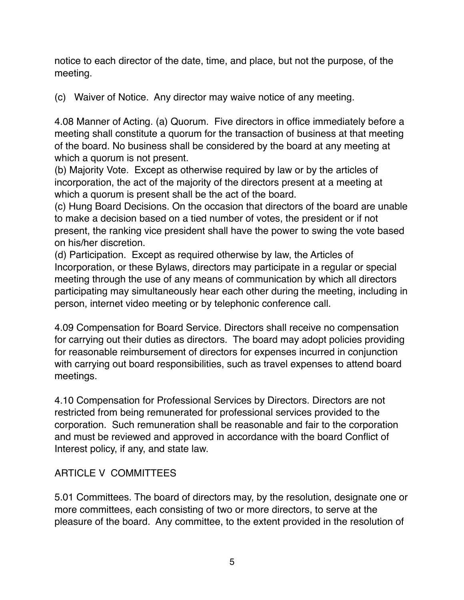notice to each director of the date, time, and place, but not the purpose, of the meeting.

(c) Waiver of Notice. Any director may waive notice of any meeting.

4.08 Manner of Acting. (a) Quorum. Five directors in office immediately before a meeting shall constitute a quorum for the transaction of business at that meeting of the board. No business shall be considered by the board at any meeting at which a quorum is not present.

(b) Majority Vote. Except as otherwise required by law or by the articles of incorporation, the act of the majority of the directors present at a meeting at which a quorum is present shall be the act of the board.

(c) Hung Board Decisions. On the occasion that directors of the board are unable to make a decision based on a tied number of votes, the president or if not present, the ranking vice president shall have the power to swing the vote based on his/her discretion.

(d) Participation. Except as required otherwise by law, the Articles of Incorporation, or these Bylaws, directors may participate in a regular or special meeting through the use of any means of communication by which all directors participating may simultaneously hear each other during the meeting, including in person, internet video meeting or by telephonic conference call.

4.09 Compensation for Board Service. Directors shall receive no compensation for carrying out their duties as directors. The board may adopt policies providing for reasonable reimbursement of directors for expenses incurred in conjunction with carrying out board responsibilities, such as travel expenses to attend board meetings.

4.10 Compensation for Professional Services by Directors. Directors are not restricted from being remunerated for professional services provided to the corporation. Such remuneration shall be reasonable and fair to the corporation and must be reviewed and approved in accordance with the board Conflict of Interest policy, if any, and state law.

# ARTICLE V COMMITTEES

5.01 Committees. The board of directors may, by the resolution, designate one or more committees, each consisting of two or more directors, to serve at the pleasure of the board. Any committee, to the extent provided in the resolution of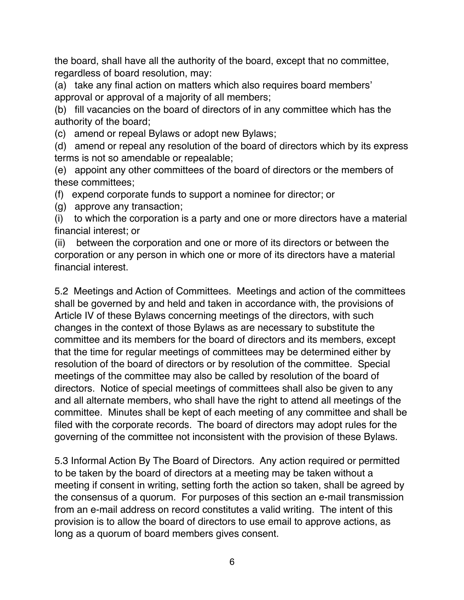the board, shall have all the authority of the board, except that no committee, regardless of board resolution, may:

(a) take any final action on matters which also requires board members' approval or approval of a majority of all members;

(b) fill vacancies on the board of directors of in any committee which has the authority of the board;

(c) amend or repeal Bylaws or adopt new Bylaws;

(d) amend or repeal any resolution of the board of directors which by its express terms is not so amendable or repealable;

(e) appoint any other committees of the board of directors or the members of these committees;

(f) expend corporate funds to support a nominee for director; or

(g) approve any transaction;

(i) to which the corporation is a party and one or more directors have a material financial interest; or

(ii) between the corporation and one or more of its directors or between the corporation or any person in which one or more of its directors have a material financial interest.

5.2 Meetings and Action of Committees. Meetings and action of the committees shall be governed by and held and taken in accordance with, the provisions of Article IV of these Bylaws concerning meetings of the directors, with such changes in the context of those Bylaws as are necessary to substitute the committee and its members for the board of directors and its members, except that the time for regular meetings of committees may be determined either by resolution of the board of directors or by resolution of the committee. Special meetings of the committee may also be called by resolution of the board of directors. Notice of special meetings of committees shall also be given to any and all alternate members, who shall have the right to attend all meetings of the committee. Minutes shall be kept of each meeting of any committee and shall be filed with the corporate records. The board of directors may adopt rules for the governing of the committee not inconsistent with the provision of these Bylaws.

5.3 Informal Action By The Board of Directors. Any action required or permitted to be taken by the board of directors at a meeting may be taken without a meeting if consent in writing, setting forth the action so taken, shall be agreed by the consensus of a quorum. For purposes of this section an e-mail transmission from an e-mail address on record constitutes a valid writing. The intent of this provision is to allow the board of directors to use email to approve actions, as long as a quorum of board members gives consent.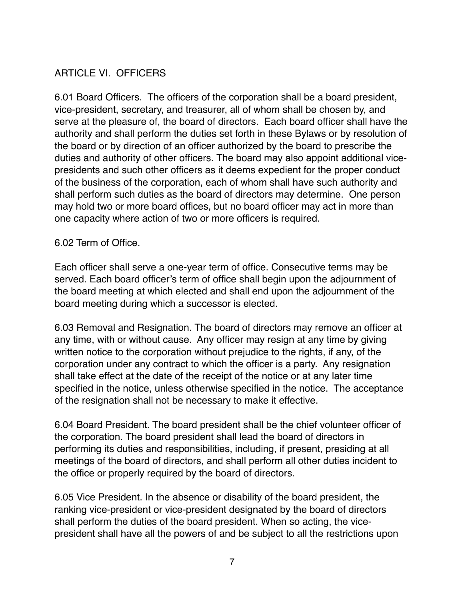# ARTICLE VI. OFFICERS

6.01 Board Officers. The officers of the corporation shall be a board president, vice-president, secretary, and treasurer, all of whom shall be chosen by, and serve at the pleasure of, the board of directors. Each board officer shall have the authority and shall perform the duties set forth in these Bylaws or by resolution of the board or by direction of an officer authorized by the board to prescribe the duties and authority of other officers. The board may also appoint additional vicepresidents and such other officers as it deems expedient for the proper conduct of the business of the corporation, each of whom shall have such authority and shall perform such duties as the board of directors may determine. One person may hold two or more board offices, but no board officer may act in more than one capacity where action of two or more officers is required.

6.02 Term of Office.

Each officer shall serve a one-year term of office. Consecutive terms may be served. Each board officer's term of office shall begin upon the adjournment of the board meeting at which elected and shall end upon the adjournment of the board meeting during which a successor is elected.

6.03 Removal and Resignation. The board of directors may remove an officer at any time, with or without cause. Any officer may resign at any time by giving written notice to the corporation without prejudice to the rights, if any, of the corporation under any contract to which the officer is a party. Any resignation shall take effect at the date of the receipt of the notice or at any later time specified in the notice, unless otherwise specified in the notice. The acceptance of the resignation shall not be necessary to make it effective.

6.04 Board President. The board president shall be the chief volunteer officer of the corporation. The board president shall lead the board of directors in performing its duties and responsibilities, including, if present, presiding at all meetings of the board of directors, and shall perform all other duties incident to the office or properly required by the board of directors.

6.05 Vice President. In the absence or disability of the board president, the ranking vice-president or vice-president designated by the board of directors shall perform the duties of the board president. When so acting, the vicepresident shall have all the powers of and be subject to all the restrictions upon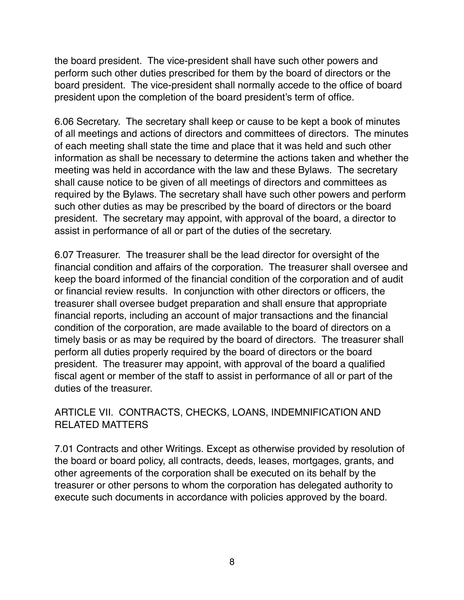the board president. The vice-president shall have such other powers and perform such other duties prescribed for them by the board of directors or the board president. The vice-president shall normally accede to the office of board president upon the completion of the board president's term of office.

6.06 Secretary. The secretary shall keep or cause to be kept a book of minutes of all meetings and actions of directors and committees of directors. The minutes of each meeting shall state the time and place that it was held and such other information as shall be necessary to determine the actions taken and whether the meeting was held in accordance with the law and these Bylaws. The secretary shall cause notice to be given of all meetings of directors and committees as required by the Bylaws. The secretary shall have such other powers and perform such other duties as may be prescribed by the board of directors or the board president. The secretary may appoint, with approval of the board, a director to assist in performance of all or part of the duties of the secretary.

6.07 Treasurer. The treasurer shall be the lead director for oversight of the financial condition and affairs of the corporation. The treasurer shall oversee and keep the board informed of the financial condition of the corporation and of audit or financial review results. In conjunction with other directors or officers, the treasurer shall oversee budget preparation and shall ensure that appropriate financial reports, including an account of major transactions and the financial condition of the corporation, are made available to the board of directors on a timely basis or as may be required by the board of directors. The treasurer shall perform all duties properly required by the board of directors or the board president. The treasurer may appoint, with approval of the board a qualified fiscal agent or member of the staff to assist in performance of all or part of the duties of the treasurer.

ARTICLE VII. CONTRACTS, CHECKS, LOANS, INDEMNIFICATION AND RELATED MATTERS

7.01 Contracts and other Writings. Except as otherwise provided by resolution of the board or board policy, all contracts, deeds, leases, mortgages, grants, and other agreements of the corporation shall be executed on its behalf by the treasurer or other persons to whom the corporation has delegated authority to execute such documents in accordance with policies approved by the board.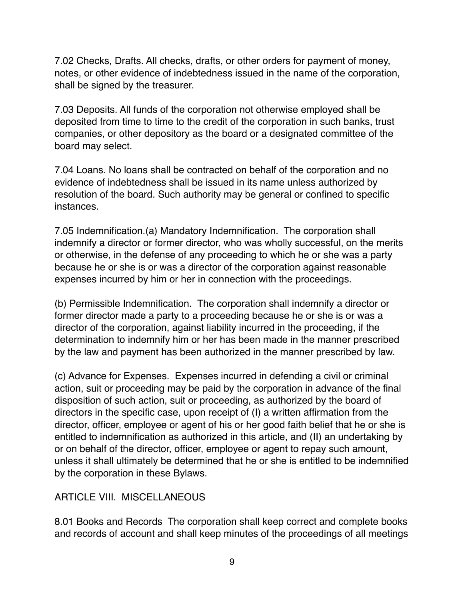7.02 Checks, Drafts. All checks, drafts, or other orders for payment of money, notes, or other evidence of indebtedness issued in the name of the corporation, shall be signed by the treasurer.

7.03 Deposits. All funds of the corporation not otherwise employed shall be deposited from time to time to the credit of the corporation in such banks, trust companies, or other depository as the board or a designated committee of the board may select.

7.04 Loans. No loans shall be contracted on behalf of the corporation and no evidence of indebtedness shall be issued in its name unless authorized by resolution of the board. Such authority may be general or confined to specific instances.

7.05 Indemnification.(a) Mandatory Indemnification. The corporation shall indemnify a director or former director, who was wholly successful, on the merits or otherwise, in the defense of any proceeding to which he or she was a party because he or she is or was a director of the corporation against reasonable expenses incurred by him or her in connection with the proceedings.

(b) Permissible Indemnification. The corporation shall indemnify a director or former director made a party to a proceeding because he or she is or was a director of the corporation, against liability incurred in the proceeding, if the determination to indemnify him or her has been made in the manner prescribed by the law and payment has been authorized in the manner prescribed by law.

(c) Advance for Expenses. Expenses incurred in defending a civil or criminal action, suit or proceeding may be paid by the corporation in advance of the final disposition of such action, suit or proceeding, as authorized by the board of directors in the specific case, upon receipt of (I) a written affirmation from the director, officer, employee or agent of his or her good faith belief that he or she is entitled to indemnification as authorized in this article, and (II) an undertaking by or on behalf of the director, officer, employee or agent to repay such amount, unless it shall ultimately be determined that he or she is entitled to be indemnified by the corporation in these Bylaws.

### ARTICLE VIII. MISCELLANEOUS

8.01 Books and Records The corporation shall keep correct and complete books and records of account and shall keep minutes of the proceedings of all meetings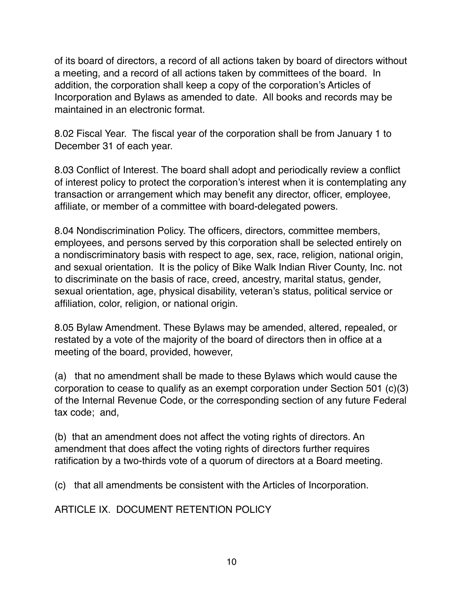of its board of directors, a record of all actions taken by board of directors without a meeting, and a record of all actions taken by committees of the board. In addition, the corporation shall keep a copy of the corporation's Articles of Incorporation and Bylaws as amended to date. All books and records may be maintained in an electronic format.

8.02 Fiscal Year. The fiscal year of the corporation shall be from January 1 to December 31 of each year.

8.03 Conflict of Interest. The board shall adopt and periodically review a conflict of interest policy to protect the corporation's interest when it is contemplating any transaction or arrangement which may benefit any director, officer, employee, affiliate, or member of a committee with board-delegated powers.

8.04 Nondiscrimination Policy. The officers, directors, committee members, employees, and persons served by this corporation shall be selected entirely on a nondiscriminatory basis with respect to age, sex, race, religion, national origin, and sexual orientation. It is the policy of Bike Walk Indian River County, Inc. not to discriminate on the basis of race, creed, ancestry, marital status, gender, sexual orientation, age, physical disability, veteran's status, political service or affiliation, color, religion, or national origin.

8.05 Bylaw Amendment. These Bylaws may be amended, altered, repealed, or restated by a vote of the majority of the board of directors then in office at a meeting of the board, provided, however,

(a) that no amendment shall be made to these Bylaws which would cause the corporation to cease to qualify as an exempt corporation under Section 501 (c)(3) of the Internal Revenue Code, or the corresponding section of any future Federal tax code; and,

(b) that an amendment does not affect the voting rights of directors. An amendment that does affect the voting rights of directors further requires ratification by a two-thirds vote of a quorum of directors at a Board meeting.

(c) that all amendments be consistent with the Articles of Incorporation.

ARTICLE IX. DOCUMENT RETENTION POLICY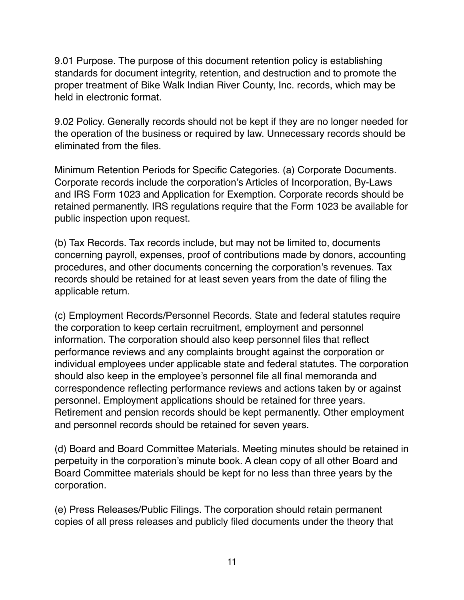9.01 Purpose. The purpose of this document retention policy is establishing standards for document integrity, retention, and destruction and to promote the proper treatment of Bike Walk Indian River County, Inc. records, which may be held in electronic format.

9.02 Policy. Generally records should not be kept if they are no longer needed for the operation of the business or required by law. Unnecessary records should be eliminated from the files.

Minimum Retention Periods for Specific Categories. (a) Corporate Documents. Corporate records include the corporation's Articles of Incorporation, By-Laws and IRS Form 1023 and Application for Exemption. Corporate records should be retained permanently. IRS regulations require that the Form 1023 be available for public inspection upon request.

(b) Tax Records. Tax records include, but may not be limited to, documents concerning payroll, expenses, proof of contributions made by donors, accounting procedures, and other documents concerning the corporation's revenues. Tax records should be retained for at least seven years from the date of filing the applicable return.

(c) Employment Records/Personnel Records. State and federal statutes require the corporation to keep certain recruitment, employment and personnel information. The corporation should also keep personnel files that reflect performance reviews and any complaints brought against the corporation or individual employees under applicable state and federal statutes. The corporation should also keep in the employee's personnel file all final memoranda and correspondence reflecting performance reviews and actions taken by or against personnel. Employment applications should be retained for three years. Retirement and pension records should be kept permanently. Other employment and personnel records should be retained for seven years.

(d) Board and Board Committee Materials. Meeting minutes should be retained in perpetuity in the corporation's minute book. A clean copy of all other Board and Board Committee materials should be kept for no less than three years by the corporation.

(e) Press Releases/Public Filings. The corporation should retain permanent copies of all press releases and publicly filed documents under the theory that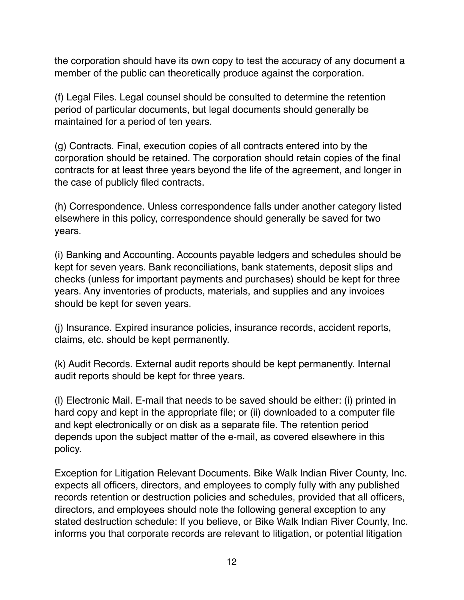the corporation should have its own copy to test the accuracy of any document a member of the public can theoretically produce against the corporation.

(f) Legal Files. Legal counsel should be consulted to determine the retention period of particular documents, but legal documents should generally be maintained for a period of ten years.

(g) Contracts. Final, execution copies of all contracts entered into by the corporation should be retained. The corporation should retain copies of the final contracts for at least three years beyond the life of the agreement, and longer in the case of publicly filed contracts.

(h) Correspondence. Unless correspondence falls under another category listed elsewhere in this policy, correspondence should generally be saved for two years.

(i) Banking and Accounting. Accounts payable ledgers and schedules should be kept for seven years. Bank reconciliations, bank statements, deposit slips and checks (unless for important payments and purchases) should be kept for three years. Any inventories of products, materials, and supplies and any invoices should be kept for seven years.

(j) Insurance. Expired insurance policies, insurance records, accident reports, claims, etc. should be kept permanently.

(k) Audit Records. External audit reports should be kept permanently. Internal audit reports should be kept for three years.

(l) Electronic Mail. E-mail that needs to be saved should be either: (i) printed in hard copy and kept in the appropriate file; or (ii) downloaded to a computer file and kept electronically or on disk as a separate file. The retention period depends upon the subject matter of the e-mail, as covered elsewhere in this policy.

Exception for Litigation Relevant Documents. Bike Walk Indian River County, Inc. expects all officers, directors, and employees to comply fully with any published records retention or destruction policies and schedules, provided that all officers, directors, and employees should note the following general exception to any stated destruction schedule: If you believe, or Bike Walk Indian River County, Inc. informs you that corporate records are relevant to litigation, or potential litigation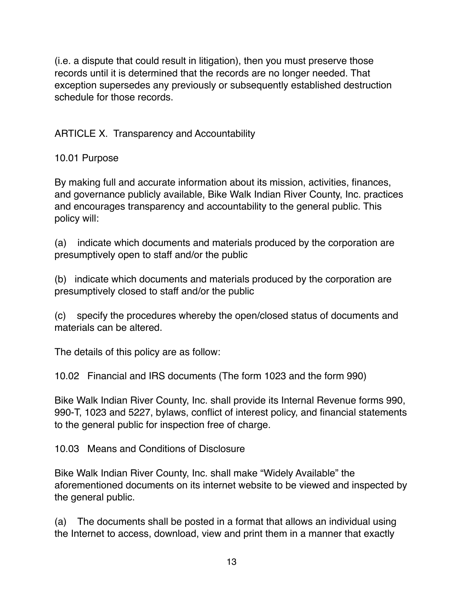(i.e. a dispute that could result in litigation), then you must preserve those records until it is determined that the records are no longer needed. That exception supersedes any previously or subsequently established destruction schedule for those records.

### ARTICLE X. Transparency and Accountability

10.01 Purpose

By making full and accurate information about its mission, activities, finances, and governance publicly available, Bike Walk Indian River County, Inc. practices and encourages transparency and accountability to the general public. This policy will:

(a) indicate which documents and materials produced by the corporation are presumptively open to staff and/or the public

(b) indicate which documents and materials produced by the corporation are presumptively closed to staff and/or the public

(c) specify the procedures whereby the open/closed status of documents and materials can be altered.

The details of this policy are as follow:

10.02 Financial and IRS documents (The form 1023 and the form 990)

Bike Walk Indian River County, Inc. shall provide its Internal Revenue forms 990, 990-T, 1023 and 5227, bylaws, conflict of interest policy, and financial statements to the general public for inspection free of charge.

10.03 Means and Conditions of Disclosure

Bike Walk Indian River County, Inc. shall make "Widely Available" the aforementioned documents on its internet website to be viewed and inspected by the general public.

(a) The documents shall be posted in a format that allows an individual using the Internet to access, download, view and print them in a manner that exactly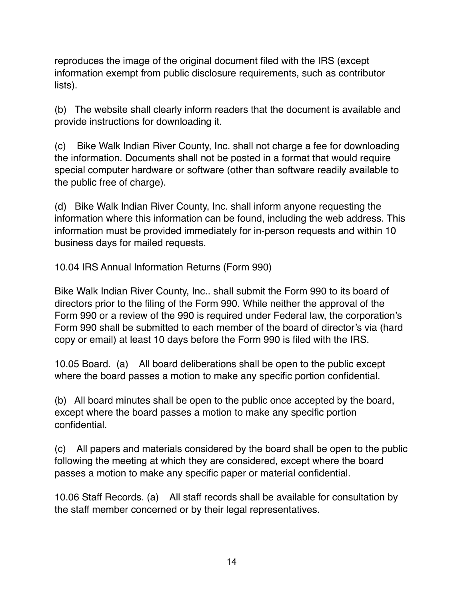reproduces the image of the original document filed with the IRS (except information exempt from public disclosure requirements, such as contributor lists).

(b) The website shall clearly inform readers that the document is available and provide instructions for downloading it.

(c) Bike Walk Indian River County, Inc. shall not charge a fee for downloading the information. Documents shall not be posted in a format that would require special computer hardware or software (other than software readily available to the public free of charge).

(d) Bike Walk Indian River County, Inc. shall inform anyone requesting the information where this information can be found, including the web address. This information must be provided immediately for in-person requests and within 10 business days for mailed requests.

10.04 IRS Annual Information Returns (Form 990)

Bike Walk Indian River County, Inc.. shall submit the Form 990 to its board of directors prior to the filing of the Form 990. While neither the approval of the Form 990 or a review of the 990 is required under Federal law, the corporation's Form 990 shall be submitted to each member of the board of director's via (hard copy or email) at least 10 days before the Form 990 is filed with the IRS.

10.05 Board. (a) All board deliberations shall be open to the public except where the board passes a motion to make any specific portion confidential.

(b) All board minutes shall be open to the public once accepted by the board, except where the board passes a motion to make any specific portion confidential.

(c) All papers and materials considered by the board shall be open to the public following the meeting at which they are considered, except where the board passes a motion to make any specific paper or material confidential.

10.06 Staff Records. (a) All staff records shall be available for consultation by the staff member concerned or by their legal representatives.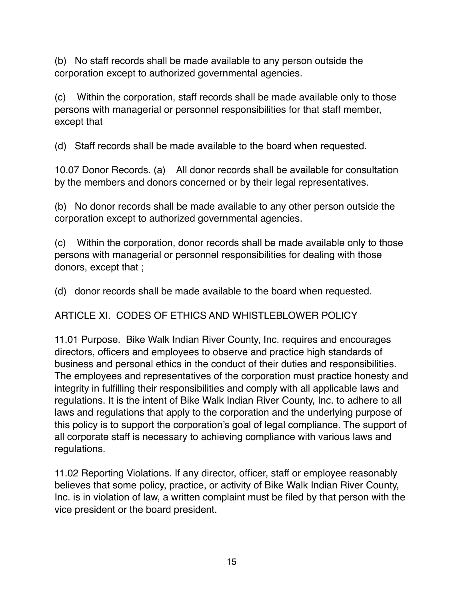(b) No staff records shall be made available to any person outside the corporation except to authorized governmental agencies.

(c) Within the corporation, staff records shall be made available only to those persons with managerial or personnel responsibilities for that staff member, except that

(d) Staff records shall be made available to the board when requested.

10.07 Donor Records. (a) All donor records shall be available for consultation by the members and donors concerned or by their legal representatives.

(b) No donor records shall be made available to any other person outside the corporation except to authorized governmental agencies.

(c) Within the corporation, donor records shall be made available only to those persons with managerial or personnel responsibilities for dealing with those donors, except that ;

(d) donor records shall be made available to the board when requested.

### ARTICLE XI. CODES OF ETHICS AND WHISTLEBLOWER POLICY

11.01 Purpose. Bike Walk Indian River County, Inc. requires and encourages directors, officers and employees to observe and practice high standards of business and personal ethics in the conduct of their duties and responsibilities. The employees and representatives of the corporation must practice honesty and integrity in fulfilling their responsibilities and comply with all applicable laws and regulations. It is the intent of Bike Walk Indian River County, Inc. to adhere to all laws and regulations that apply to the corporation and the underlying purpose of this policy is to support the corporation's goal of legal compliance. The support of all corporate staff is necessary to achieving compliance with various laws and regulations.

11.02 Reporting Violations. If any director, officer, staff or employee reasonably believes that some policy, practice, or activity of Bike Walk Indian River County, Inc. is in violation of law, a written complaint must be filed by that person with the vice president or the board president.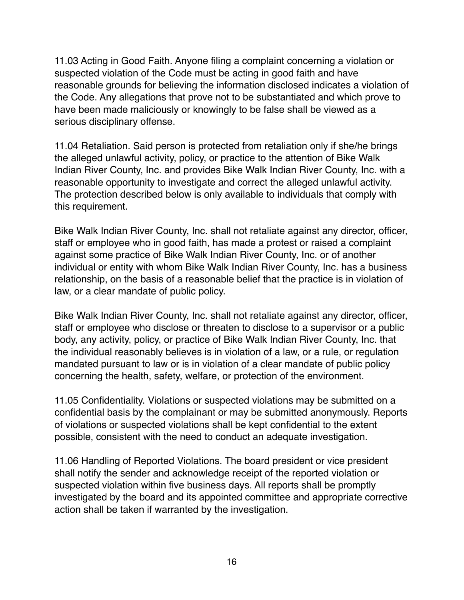11.03 Acting in Good Faith. Anyone filing a complaint concerning a violation or suspected violation of the Code must be acting in good faith and have reasonable grounds for believing the information disclosed indicates a violation of the Code. Any allegations that prove not to be substantiated and which prove to have been made maliciously or knowingly to be false shall be viewed as a serious disciplinary offense.

11.04 Retaliation. Said person is protected from retaliation only if she/he brings the alleged unlawful activity, policy, or practice to the attention of Bike Walk Indian River County, Inc. and provides Bike Walk Indian River County, Inc. with a reasonable opportunity to investigate and correct the alleged unlawful activity. The protection described below is only available to individuals that comply with this requirement.

Bike Walk Indian River County, Inc. shall not retaliate against any director, officer, staff or employee who in good faith, has made a protest or raised a complaint against some practice of Bike Walk Indian River County, Inc. or of another individual or entity with whom Bike Walk Indian River County, Inc. has a business relationship, on the basis of a reasonable belief that the practice is in violation of law, or a clear mandate of public policy.

Bike Walk Indian River County, Inc. shall not retaliate against any director, officer, staff or employee who disclose or threaten to disclose to a supervisor or a public body, any activity, policy, or practice of Bike Walk Indian River County, Inc. that the individual reasonably believes is in violation of a law, or a rule, or regulation mandated pursuant to law or is in violation of a clear mandate of public policy concerning the health, safety, welfare, or protection of the environment.

11.05 Confidentiality. Violations or suspected violations may be submitted on a confidential basis by the complainant or may be submitted anonymously. Reports of violations or suspected violations shall be kept confidential to the extent possible, consistent with the need to conduct an adequate investigation.

11.06 Handling of Reported Violations. The board president or vice president shall notify the sender and acknowledge receipt of the reported violation or suspected violation within five business days. All reports shall be promptly investigated by the board and its appointed committee and appropriate corrective action shall be taken if warranted by the investigation.